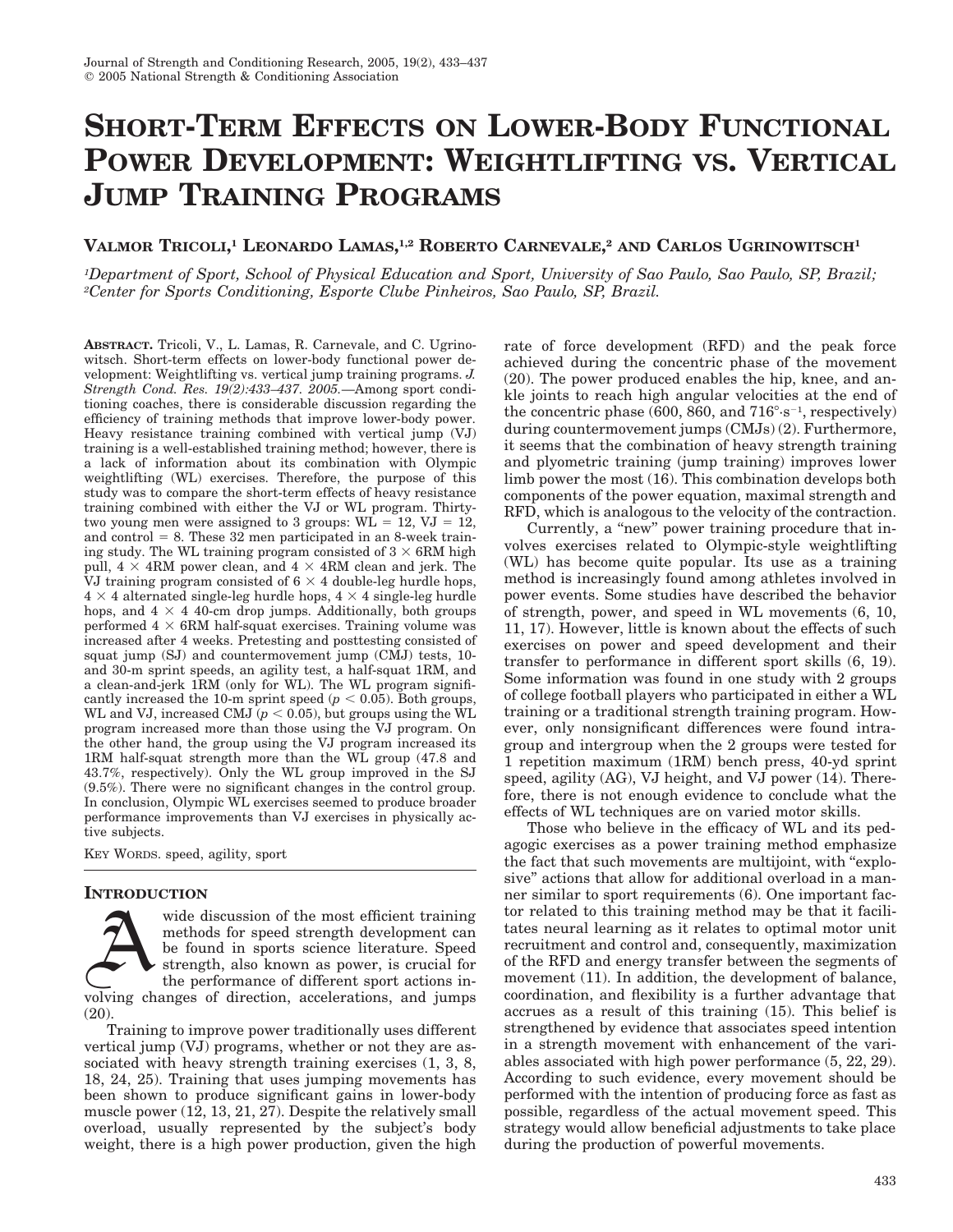# **SHORT-TERM EFFECTS ON LOWER-BODY FUNCTIONAL POWER DEVELOPMENT: WEIGHTLIFTING VS. VERTICAL JUMP TRAINING PROGRAMS**

## **VALMOR TRICOLI, <sup>1</sup> LEONARDO LAMAS, 1,2 ROBERTO CARNEVALE, <sup>2</sup> AND CARLOS UGRINOWITSCH1**

*1Department of Sport, School of Physical Education and Sport, University of Sao Paulo, Sao Paulo, SP, Brazil; 2Center for Sports Conditioning, Esporte Clube Pinheiros, Sao Paulo, SP, Brazil.*

**ABSTRACT.** Tricoli, V., L. Lamas, R. Carnevale, and C. Ugrinowitsch. Short-term effects on lower-body functional power development: Weightlifting vs. vertical jump training programs. *J. Strength Cond. Res. 19(2):433–437. 2005.*—Among sport conditioning coaches, there is considerable discussion regarding the efficiency of training methods that improve lower-body power. Heavy resistance training combined with vertical jump (VJ) training is a well-established training method; however, there is a lack of information about its combination with Olympic weightlifting (WL) exercises. Therefore, the purpose of this study was to compare the short-term effects of heavy resistance training combined with either the VJ or WL program. Thirtytwo young men were assigned to 3 groups:  $W\hat{L} = 12$ ,  $VJ = 12$ , and control  $= 8$ . These 32 men participated in an 8-week training study. The WL training program consisted of  $3 \times 6$ RM high pull,  $4 \times 4RM$  power clean, and  $4 \times 4RM$  clean and jerk. The VJ training program consisted of  $6 \times 4$  double-leg hurdle hops,  $4 \times 4$  alternated single-leg hurdle hops,  $4 \times 4$  single-leg hurdle hops, and  $4 \times 4$  40-cm drop jumps. Additionally, both groups performed  $4 \times 6$ RM half-squat exercises. Training volume was increased after 4 weeks. Pretesting and posttesting consisted of squat jump (SJ) and countermovement jump (CMJ) tests, 10 and 30-m sprint speeds, an agility test, a half-squat 1RM, and a clean-and-jerk 1RM (only for WL). The WL program significantly increased the 10-m sprint speed  $(p < 0.05)$ . Both groups, WL and VJ, increased CMJ ( $p < 0.05$ ), but groups using the WL program increased more than those using the VJ program. On the other hand, the group using the VJ program increased its 1RM half-squat strength more than the WL group (47.8 and 43.7%, respectively). Only the WL group improved in the SJ (9.5%). There were no significant changes in the control group. In conclusion, Olympic WL exercises seemed to produce broader performance improvements than VJ exercises in physically active subjects.

KEY WORDS. speed, agility, sport

## **INTRODUCTION**

wide discussion of the most efficient training methods for speed strength development can be found in sports science literature. Speed strength, also known as power, is crucial for the performance of different sport actions involving changes of direction, accelerations, and jumps (20).

Training to improve power traditionally uses different vertical jump (VJ) programs, whether or not they are associated with heavy strength training exercises (1, 3, 8, 18, 24, 25). Training that uses jumping movements has been shown to produce significant gains in lower-body muscle power (12, 13, 21, 27). Despite the relatively small overload, usually represented by the subject's body weight, there is a high power production, given the high

rate of force development (RFD) and the peak force achieved during the concentric phase of the movement (20). The power produced enables the hip, knee, and ankle joints to reach high angular velocities at the end of the concentric phase  $(600, 860,$  and  $716^{\circ} \text{·s}^{-1}$ , respectively) during countermovement jumps (CMJs) (2). Furthermore, it seems that the combination of heavy strength training and plyometric training (jump training) improves lower limb power the most (16). This combination develops both components of the power equation, maximal strength and RFD, which is analogous to the velocity of the contraction.

Currently, a "new" power training procedure that involves exercises related to Olympic-style weightlifting (WL) has become quite popular. Its use as a training method is increasingly found among athletes involved in power events. Some studies have described the behavior of strength, power, and speed in WL movements (6, 10, 11, 17). However, little is known about the effects of such exercises on power and speed development and their transfer to performance in different sport skills (6, 19). Some information was found in one study with 2 groups of college football players who participated in either a WL training or a traditional strength training program. However, only nonsignificant differences were found intragroup and intergroup when the 2 groups were tested for 1 repetition maximum (1RM) bench press, 40-yd sprint speed, agility (AG), VJ height, and VJ power (14). Therefore, there is not enough evidence to conclude what the effects of WL techniques are on varied motor skills.

Those who believe in the efficacy of WL and its pedagogic exercises as a power training method emphasize the fact that such movements are multijoint, with ''explosive'' actions that allow for additional overload in a manner similar to sport requirements (6). One important factor related to this training method may be that it facilitates neural learning as it relates to optimal motor unit recruitment and control and, consequently, maximization of the RFD and energy transfer between the segments of movement (11). In addition, the development of balance, coordination, and flexibility is a further advantage that accrues as a result of this training (15). This belief is strengthened by evidence that associates speed intention in a strength movement with enhancement of the variables associated with high power performance (5, 22, 29). According to such evidence, every movement should be performed with the intention of producing force as fast as possible, regardless of the actual movement speed. This strategy would allow beneficial adjustments to take place during the production of powerful movements.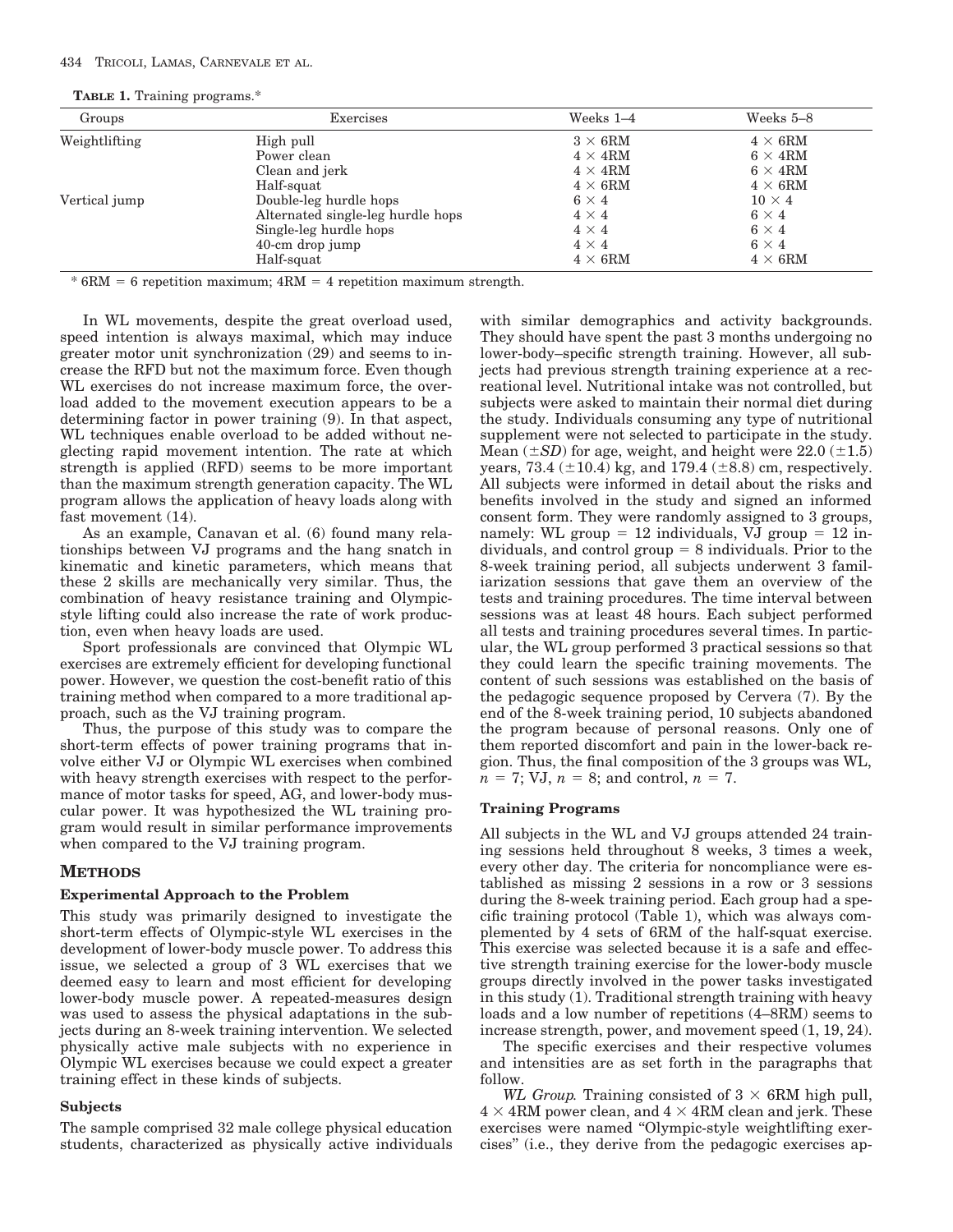## 434 TRICOLI, LAMAS, CARNEVALE ET AL.

|  |  |  | <b>TABLE 1.</b> Training programs.* |  |
|--|--|--|-------------------------------------|--|
|--|--|--|-------------------------------------|--|

| Groups        | Exercises                         | Weeks $1-4$            | Weeks 5-8              |
|---------------|-----------------------------------|------------------------|------------------------|
| Weightlifting | High pull                         | $3 \times 6 \text{RM}$ | $4 \times 6 \text{RM}$ |
|               | Power clean                       | $4 \times 4 \text{RM}$ | $6 \times 4 \text{RM}$ |
|               | Clean and jerk                    | $4 \times 4 \text{RM}$ | $6 \times 4 \text{RM}$ |
|               | Half-squat                        | $4 \times 6 \text{RM}$ | $4\times 6{\rm RM}$    |
| Vertical jump | Double-leg hurdle hops            | $6 \times 4$           | $10 \times 4$          |
|               | Alternated single-leg hurdle hops | $4 \times 4$           | $6 \times 4$           |
|               | Single-leg hurdle hops            | $4 \times 4$           | $6 \times 4$           |
|               | $40$ -cm drop jump                | $4 \times 4$           | $6 \times 4$           |
|               | Half-squat                        | $4 \times 6 \text{RM}$ | $4 \times 6 \text{RM}$ |

 $* 6RM = 6$  repetition maximum;  $4RM = 4$  repetition maximum strength.

In WL movements, despite the great overload used, speed intention is always maximal, which may induce greater motor unit synchronization (29) and seems to increase the RFD but not the maximum force. Even though WL exercises do not increase maximum force, the overload added to the movement execution appears to be a determining factor in power training (9). In that aspect, WL techniques enable overload to be added without neglecting rapid movement intention. The rate at which strength is applied (RFD) seems to be more important than the maximum strength generation capacity. The WL program allows the application of heavy loads along with fast movement (14).

As an example, Canavan et al. (6) found many relationships between VJ programs and the hang snatch in kinematic and kinetic parameters, which means that these 2 skills are mechanically very similar. Thus, the combination of heavy resistance training and Olympicstyle lifting could also increase the rate of work production, even when heavy loads are used.

Sport professionals are convinced that Olympic WL exercises are extremely efficient for developing functional power. However, we question the cost-benefit ratio of this training method when compared to a more traditional approach, such as the VJ training program.

Thus, the purpose of this study was to compare the short-term effects of power training programs that involve either VJ or Olympic WL exercises when combined with heavy strength exercises with respect to the performance of motor tasks for speed, AG, and lower-body muscular power. It was hypothesized the WL training program would result in similar performance improvements when compared to the VJ training program.

## **METHODS**

#### **Experimental Approach to the Problem**

This study was primarily designed to investigate the short-term effects of Olympic-style WL exercises in the development of lower-body muscle power. To address this issue, we selected a group of 3 WL exercises that we deemed easy to learn and most efficient for developing lower-body muscle power. A repeated-measures design was used to assess the physical adaptations in the subjects during an 8-week training intervention. We selected physically active male subjects with no experience in Olympic WL exercises because we could expect a greater training effect in these kinds of subjects.

#### **Subjects**

The sample comprised 32 male college physical education students, characterized as physically active individuals with similar demographics and activity backgrounds. They should have spent the past 3 months undergoing no lower-body–specific strength training. However, all subjects had previous strength training experience at a recreational level. Nutritional intake was not controlled, but subjects were asked to maintain their normal diet during the study. Individuals consuming any type of nutritional supplement were not selected to participate in the study. Mean  $(\pm SD)$  for age, weight, and height were 22.0  $(\pm 1.5)$ years, 73.4 ( $\pm$ 10.4) kg, and 179.4 ( $\pm$ 8.8) cm, respectively. All subjects were informed in detail about the risks and benefits involved in the study and signed an informed consent form. They were randomly assigned to 3 groups, namely: WL group  $= 12$  individuals, VJ group  $= 12$  individuals, and control group  $= 8$  individuals. Prior to the 8-week training period, all subjects underwent 3 familiarization sessions that gave them an overview of the tests and training procedures. The time interval between sessions was at least 48 hours. Each subject performed all tests and training procedures several times. In particular, the WL group performed 3 practical sessions so that they could learn the specific training movements. The content of such sessions was established on the basis of the pedagogic sequence proposed by Cervera (7). By the end of the 8-week training period, 10 subjects abandoned the program because of personal reasons. Only one of them reported discomfort and pain in the lower-back region. Thus, the final composition of the 3 groups was WL,  $n = 7$ ; VJ,  $n = 8$ ; and control,  $n = 7$ .

#### **Training Programs**

All subjects in the WL and VJ groups attended 24 training sessions held throughout 8 weeks, 3 times a week, every other day. The criteria for noncompliance were established as missing 2 sessions in a row or 3 sessions during the 8-week training period. Each group had a specific training protocol (Table 1), which was always complemented by 4 sets of 6RM of the half-squat exercise. This exercise was selected because it is a safe and effective strength training exercise for the lower-body muscle groups directly involved in the power tasks investigated in this study (1). Traditional strength training with heavy loads and a low number of repetitions (4–8RM) seems to increase strength, power, and movement speed (1, 19, 24).

The specific exercises and their respective volumes and intensities are as set forth in the paragraphs that follow.

*WL Group.* Training consisted of  $3 \times 6$ RM high pull,  $4 \times 4$ RM power clean, and  $4 \times 4$ RM clean and jerk. These exercises were named ''Olympic-style weightlifting exercises'' (i.e., they derive from the pedagogic exercises ap-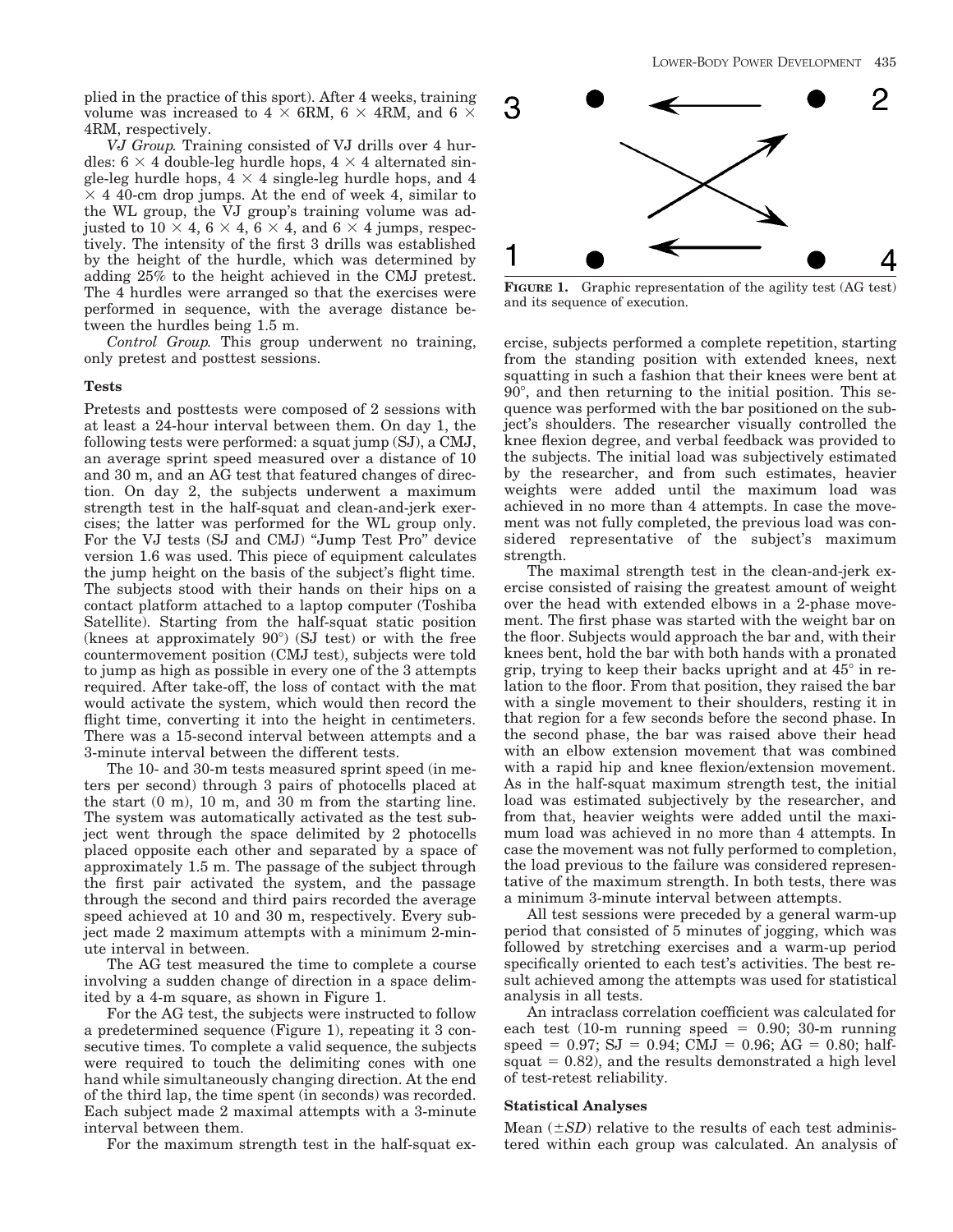plied in the practice of this sport). After 4 weeks, training volume was increased to  $4 \times 6RM$ ,  $6 \times 4RM$ , and  $6 \times$ 4RM, respectively.

*VJ Group.* Training consisted of VJ drills over 4 hurdles:  $6 \times 4$  double-leg hurdle hops,  $4 \times 4$  alternated single-leg hurdle hops,  $4 \times 4$  single-leg hurdle hops, and 4  $\times$  4 40-cm drop jumps. At the end of week 4, similar to the WL group, the VJ group's training volume was adjusted to  $10 \times 4$ ,  $6 \times 4$ ,  $6 \times 4$ , and  $6 \times 4$  jumps, respectively. The intensity of the first 3 drills was established by the height of the hurdle, which was determined by adding 25% to the height achieved in the CMJ pretest. The 4 hurdles were arranged so that the exercises were performed in sequence, with the average distance between the hurdles being 1.5 m.

*Control Group.* This group underwent no training, only pretest and posttest sessions.

#### **Tests**

Pretests and posttests were composed of 2 sessions with at least a 24-hour interval between them. On day 1, the following tests were performed: a squat jump (SJ), a CMJ, an average sprint speed measured over a distance of 10 and 30 m, and an AG test that featured changes of direction. On day 2, the subjects underwent a maximum strength test in the half-squat and clean-and-jerk exercises; the latter was performed for the WL group only. For the VJ tests (SJ and CMJ) ''Jump Test Pro'' device version 1.6 was used. This piece of equipment calculates the jump height on the basis of the subject's flight time. The subjects stood with their hands on their hips on a contact platform attached to a laptop computer (Toshiba Satellite). Starting from the half-squat static position (knees at approximately  $90^{\circ}$ ) (SJ test) or with the free countermovement position (CMJ test), subjects were told to jump as high as possible in every one of the 3 attempts required. After take-off, the loss of contact with the mat would activate the system, which would then record the flight time, converting it into the height in centimeters. There was a 15-second interval between attempts and a 3-minute interval between the different tests.

The 10- and 30-m tests measured sprint speed (in meters per second) through 3 pairs of photocells placed at the start (0 m), 10 m, and 30 m from the starting line. The system was automatically activated as the test subject went through the space delimited by 2 photocells placed opposite each other and separated by a space of approximately 1.5 m. The passage of the subject through the first pair activated the system, and the passage through the second and third pairs recorded the average speed achieved at 10 and 30 m, respectively. Every subject made 2 maximum attempts with a minimum 2-minute interval in between.

The AG test measured the time to complete a course involving a sudden change of direction in a space delimited by a 4-m square, as shown in Figure 1.

For the AG test, the subjects were instructed to follow a predetermined sequence (Figure 1), repeating it 3 consecutive times. To complete a valid sequence, the subjects were required to touch the delimiting cones with one hand while simultaneously changing direction. At the end of the third lap, the time spent (in seconds) was recorded. Each subject made 2 maximal attempts with a 3-minute interval between them.

For the maximum strength test in the half-squat ex-



**FIGURE 1.** Graphic representation of the agility test (AG test) and its sequence of execution.

ercise, subjects performed a complete repetition, starting from the standing position with extended knees, next squatting in such a fashion that their knees were bent at  $90^\circ$ , and then returning to the initial position. This sequence was performed with the bar positioned on the subject's shoulders. The researcher visually controlled the knee flexion degree, and verbal feedback was provided to the subjects. The initial load was subjectively estimated by the researcher, and from such estimates, heavier weights were added until the maximum load was achieved in no more than 4 attempts. In case the movement was not fully completed, the previous load was considered representative of the subject's maximum strength.

The maximal strength test in the clean-and-jerk exercise consisted of raising the greatest amount of weight over the head with extended elbows in a 2-phase movement. The first phase was started with the weight bar on the floor. Subjects would approach the bar and, with their knees bent, hold the bar with both hands with a pronated grip, trying to keep their backs upright and at  $45^{\circ}$  in relation to the floor. From that position, they raised the bar with a single movement to their shoulders, resting it in that region for a few seconds before the second phase. In the second phase, the bar was raised above their head with an elbow extension movement that was combined with a rapid hip and knee flexion/extension movement. As in the half-squat maximum strength test, the initial load was estimated subjectively by the researcher, and from that, heavier weights were added until the maximum load was achieved in no more than 4 attempts. In case the movement was not fully performed to completion, the load previous to the failure was considered representative of the maximum strength. In both tests, there was a minimum 3-minute interval between attempts.

All test sessions were preceded by a general warm-up period that consisted of 5 minutes of jogging, which was followed by stretching exercises and a warm-up period specifically oriented to each test's activities. The best result achieved among the attempts was used for statistical analysis in all tests.

An intraclass correlation coefficient was calculated for each test  $(10-m$  running speed = 0.90; 30-m running  $speed = 0.97; SJ = 0.94; CMJ = 0.96; AG = 0.80; half$ squat  $= 0.82$ ), and the results demonstrated a high level of test-retest reliability.

#### **Statistical Analyses**

Mean  $(\pm SD)$  relative to the results of each test administered within each group was calculated. An analysis of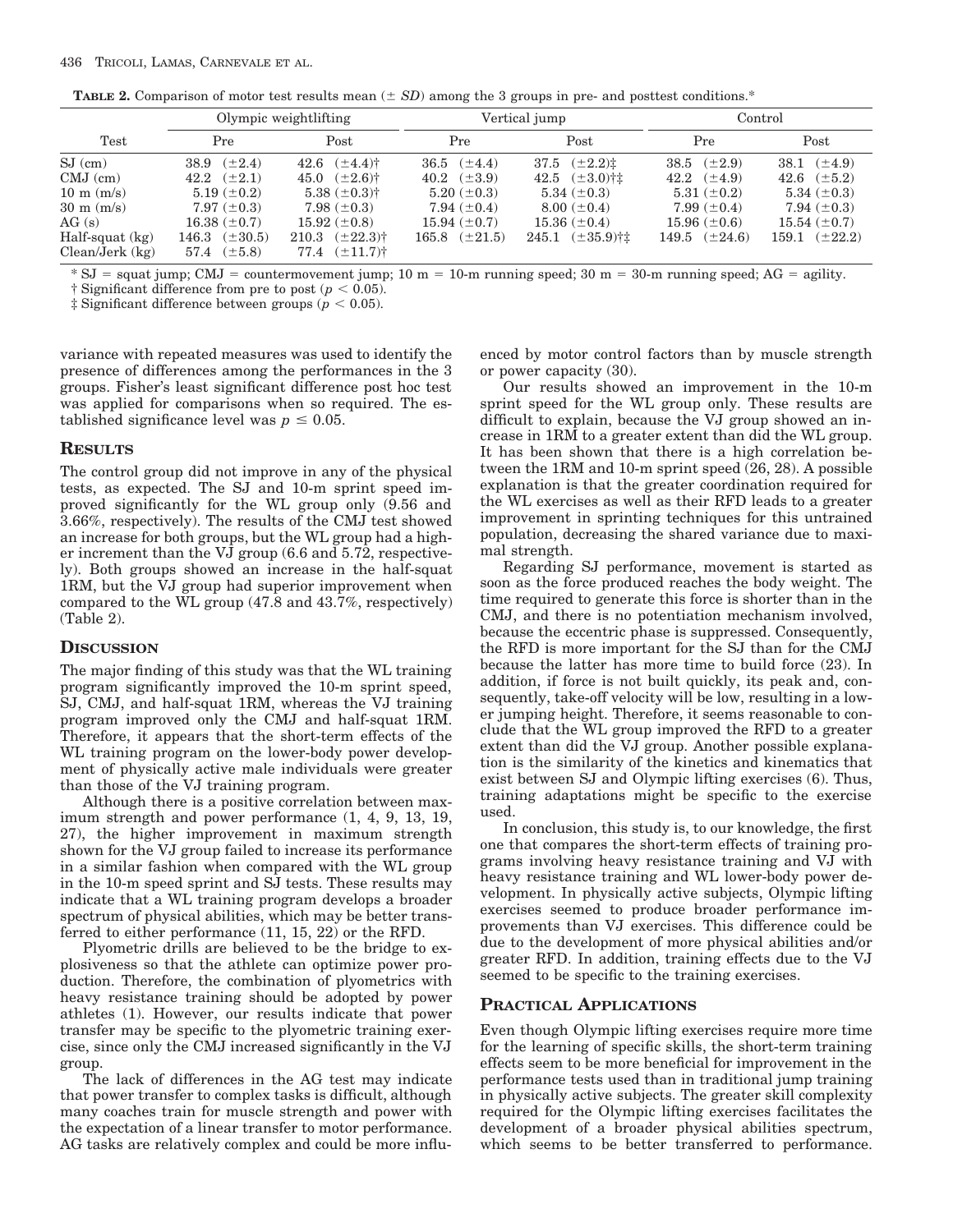|                      | Olympic weightlifting |                                   | Vertical jump            |                           | Control                |                    |
|----------------------|-----------------------|-----------------------------------|--------------------------|---------------------------|------------------------|--------------------|
| Test                 | Pre                   | Post                              | Pre                      | Post                      | Pre                    | Post               |
| $SJ$ (cm)            | 38.9 $(\pm 2.4)$      | 42.6 $(\pm 4.4)$ †                | 36.5 $(\pm 4.4)$         | 37.5 $(\pm 2.2) \ddagger$ | 38.5 $(\pm 2.9)$       | 38.1 $(\pm 4.9)$   |
| $CMJ$ (cm)           | 42.2 $(\pm 2.1)$      | 45.0 $(\pm 2.6)$ <sup>†</sup>     | 40.2 $(\pm 3.9)$         | 42.5 $(\pm 3.0)$ †±       | $42.2 \quad (\pm 4.9)$ | 42.6 $(\pm 5.2)$   |
| $10 \text{ m}$ (m/s) | $5.19 \ (\pm 0.2)$    | 5.38 $(\pm 0.3)$ †                | $5.20~(\pm 0.3)$         | 5.34 $(\pm 0.3)$          | $5.31 (\pm 0.2)$       | 5.34 $(\pm 0.3)$   |
| $30 \text{ m}$ (m/s) | $7.97 (\pm 0.3)$      | $7.98 (\pm 0.3)$                  | 7.94 $(\pm 0.4)$         | $8.00~(\pm 0.4)$          | $7.99 \ (\pm 0.4)$     | 7.94 $(\pm 0.3)$   |
| AG(s)                | $16.38~(\pm 0.7)$     | $15.92~(\pm 0.8)$                 | $15.94 \ (\pm 0.7)$      | $15.36 (\pm 0.4)$         | $15.96 (\pm 0.6)$      | $15.54~(\pm 0.7)$  |
| $Half-squat$ $(kg)$  | $(\pm 30.5)$<br>146.3 | $210.3$ $(\pm 22.3)$ <sup>†</sup> | $165.8 \quad (\pm 21.5)$ | $245.1$ $(\pm 35.9)$ †‡   | 149.5 $(\pm 24.6)$     | 159.1 $(\pm 22.2)$ |
| $Clear/Jerk$ (kg)    | 57.4 $(\pm 5.8)$      | $77.4 \quad (\pm 11.7)^+$         |                          |                           |                        |                    |

 $*$  SJ = squat jump; CMJ = countermovement jump; 10 m = 10-m running speed; 30 m = 30-m running speed; AG = agility.

† Significant difference from pre to post ( $p < 0.05$ ).

 $\ddagger$  Significant difference between groups ( $p < 0.05$ ).

variance with repeated measures was used to identify the presence of differences among the performances in the 3 groups. Fisher's least significant difference post hoc test was applied for comparisons when so required. The established significance level was  $p \leq 0.05$ .

## **RESULTS**

The control group did not improve in any of the physical tests, as expected. The SJ and 10-m sprint speed improved significantly for the WL group only (9.56 and 3.66%, respectively). The results of the CMJ test showed an increase for both groups, but the WL group had a higher increment than the VJ group (6.6 and 5.72, respectively). Both groups showed an increase in the half-squat 1RM, but the VJ group had superior improvement when compared to the WL group (47.8 and 43.7%, respectively) (Table 2).

## **DISCUSSION**

The major finding of this study was that the WL training program significantly improved the 10-m sprint speed, SJ, CMJ, and half-squat 1RM, whereas the VJ training program improved only the CMJ and half-squat 1RM. Therefore, it appears that the short-term effects of the WL training program on the lower-body power development of physically active male individuals were greater than those of the VJ training program.

Although there is a positive correlation between maximum strength and power performance (1, 4, 9, 13, 19, 27), the higher improvement in maximum strength shown for the VJ group failed to increase its performance in a similar fashion when compared with the WL group in the 10-m speed sprint and SJ tests. These results may indicate that a WL training program develops a broader spectrum of physical abilities, which may be better transferred to either performance (11, 15, 22) or the RFD.

Plyometric drills are believed to be the bridge to explosiveness so that the athlete can optimize power production. Therefore, the combination of plyometrics with heavy resistance training should be adopted by power athletes (1). However, our results indicate that power transfer may be specific to the plyometric training exercise, since only the CMJ increased significantly in the VJ group.

The lack of differences in the AG test may indicate that power transfer to complex tasks is difficult, although many coaches train for muscle strength and power with the expectation of a linear transfer to motor performance. AG tasks are relatively complex and could be more influenced by motor control factors than by muscle strength or power capacity (30).

Our results showed an improvement in the 10-m sprint speed for the WL group only. These results are difficult to explain, because the VJ group showed an increase in 1RM to a greater extent than did the WL group. It has been shown that there is a high correlation between the 1RM and 10-m sprint speed (26, 28). A possible explanation is that the greater coordination required for the WL exercises as well as their RFD leads to a greater improvement in sprinting techniques for this untrained population, decreasing the shared variance due to maximal strength.

Regarding SJ performance, movement is started as soon as the force produced reaches the body weight. The time required to generate this force is shorter than in the CMJ, and there is no potentiation mechanism involved, because the eccentric phase is suppressed. Consequently, the RFD is more important for the SJ than for the CMJ because the latter has more time to build force (23). In addition, if force is not built quickly, its peak and, consequently, take-off velocity will be low, resulting in a lower jumping height. Therefore, it seems reasonable to conclude that the WL group improved the RFD to a greater extent than did the VJ group. Another possible explanation is the similarity of the kinetics and kinematics that exist between SJ and Olympic lifting exercises (6). Thus, training adaptations might be specific to the exercise used.

In conclusion, this study is, to our knowledge, the first one that compares the short-term effects of training programs involving heavy resistance training and VJ with heavy resistance training and WL lower-body power development. In physically active subjects, Olympic lifting exercises seemed to produce broader performance improvements than VJ exercises. This difference could be due to the development of more physical abilities and/or greater RFD. In addition, training effects due to the VJ seemed to be specific to the training exercises.

## **PRACTICAL APPLICATIONS**

Even though Olympic lifting exercises require more time for the learning of specific skills, the short-term training effects seem to be more beneficial for improvement in the performance tests used than in traditional jump training in physically active subjects. The greater skill complexity required for the Olympic lifting exercises facilitates the development of a broader physical abilities spectrum, which seems to be better transferred to performance.